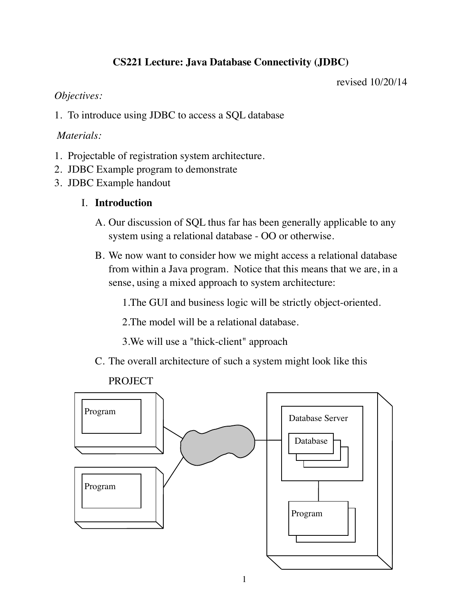# **CS221 Lecture: Java Database Connectivity (JDBC)**

revised 10/20/14

### *Objectives:*

1. To introduce using JDBC to access a SQL database

### *Materials:*

- 1. Projectable of registration system architecture.
- 2. JDBC Example program to demonstrate
- 3. JDBC Example handout

## I. **Introduction**

- A. Our discussion of SQL thus far has been generally applicable to any system using a relational database - OO or otherwise.
- B. We now want to consider how we might access a relational database from within a Java program. Notice that this means that we are, in a sense, using a mixed approach to system architecture:

1.The GUI and business logic will be strictly object-oriented.

2.The model will be a relational database.

3.We will use a "thick-client" approach

C. The overall architecture of such a system might look like this

### PROJECT

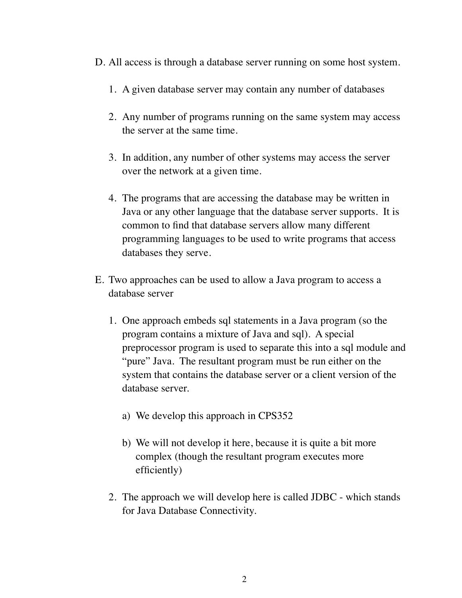- D. All access is through a database server running on some host system.
	- 1. A given database server may contain any number of databases
	- 2. Any number of programs running on the same system may access the server at the same time.
	- 3. In addition, any number of other systems may access the server over the network at a given time.
	- 4. The programs that are accessing the database may be written in Java or any other language that the database server supports. It is common to find that database servers allow many different programming languages to be used to write programs that access databases they serve.
- E. Two approaches can be used to allow a Java program to access a database server
	- 1. One approach embeds sql statements in a Java program (so the program contains a mixture of Java and sql). A special preprocessor program is used to separate this into a sql module and "pure" Java. The resultant program must be run either on the system that contains the database server or a client version of the database server.
		- a) We develop this approach in CPS352
		- b) We will not develop it here, because it is quite a bit more complex (though the resultant program executes more efficiently)
	- 2. The approach we will develop here is called JDBC which stands for Java Database Connectivity.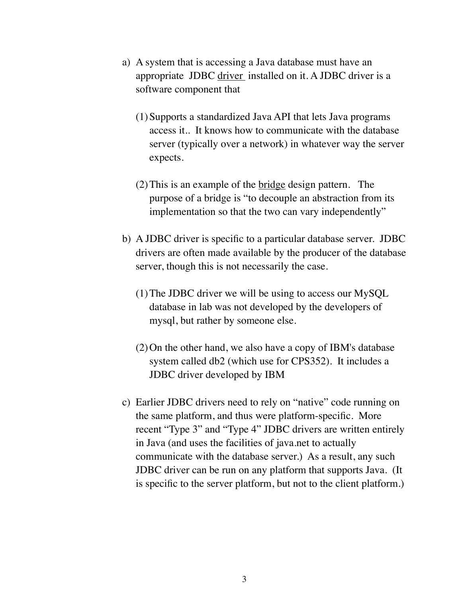- a) A system that is accessing a Java database must have an appropriate JDBC driver installed on it. A JDBC driver is a software component that
	- (1)Supports a standardized Java API that lets Java programs access it.. It knows how to communicate with the database server (typically over a network) in whatever way the server expects.
	- (2)This is an example of the bridge design pattern. The purpose of a bridge is "to decouple an abstraction from its implementation so that the two can vary independently"
- b) A JDBC driver is specific to a particular database server. JDBC drivers are often made available by the producer of the database server, though this is not necessarily the case.
	- (1)The JDBC driver we will be using to access our MySQL database in lab was not developed by the developers of mysql, but rather by someone else.
	- (2)On the other hand, we also have a copy of IBM's database system called db2 (which use for CPS352). It includes a JDBC driver developed by IBM
- c) Earlier JDBC drivers need to rely on "native" code running on the same platform, and thus were platform-specific. More recent "Type 3" and "Type 4" JDBC drivers are written entirely in Java (and uses the facilities of java.net to actually communicate with the database server.) As a result, any such JDBC driver can be run on any platform that supports Java. (It is specific to the server platform, but not to the client platform.)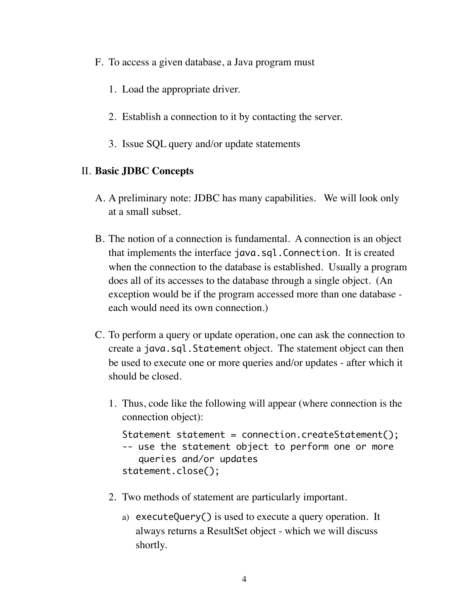- F. To access a given database, a Java program must
	- 1. Load the appropriate driver.
	- 2. Establish a connection to it by contacting the server.
	- 3. Issue SQL query and/or update statements

### II. **Basic JDBC Concepts**

- A. A preliminary note: JDBC has many capabilities. We will look only at a small subset.
- B. The notion of a connection is fundamental. A connection is an object that implements the interface java.sql.Connection. It is created when the connection to the database is established. Usually a program does all of its accesses to the database through a single object. (An exception would be if the program accessed more than one database each would need its own connection.)
- C. To perform a query or update operation, one can ask the connection to create a java.sql.Statement object. The statement object can then be used to execute one or more queries and/or updates - after which it should be closed.
	- 1. Thus, code like the following will appear (where connection is the connection object):

```
Statement statement = connection.createStatement();
-- use the statement object to perform one or more
    queries and/or updates
statement.close();
```
- 2. Two methods of statement are particularly important.
	- a) executeQuery() is used to execute a query operation. It always returns a ResultSet object - which we will discuss shortly.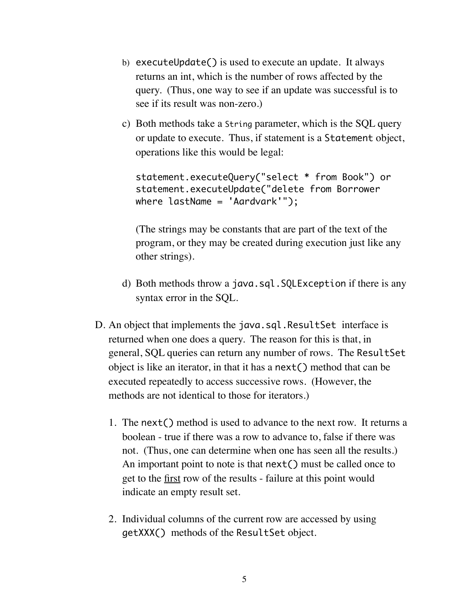- b) executeUpdate() is used to execute an update. It always returns an int, which is the number of rows affected by the query. (Thus, one way to see if an update was successful is to see if its result was non-zero.)
- c) Both methods take a String parameter, which is the SQL query or update to execute. Thus, if statement is a Statement object, operations like this would be legal:

```
statement.executeQuery("select * from Book") or
statement.executeUpdate("delete from Borrower 
where lastName = 'Aardvark'");
```
(The strings may be constants that are part of the text of the program, or they may be created during execution just like any other strings).

- d) Both methods throw a java.sql.SQLException if there is any syntax error in the SQL.
- D. An object that implements the java.sql.ResultSet interface is returned when one does a query. The reason for this is that, in general, SQL queries can return any number of rows. The ResultSet object is like an iterator, in that it has a next() method that can be executed repeatedly to access successive rows. (However, the methods are not identical to those for iterators.)
	- 1. The next() method is used to advance to the next row. It returns a boolean - true if there was a row to advance to, false if there was not. (Thus, one can determine when one has seen all the results.) An important point to note is that next() must be called once to get to the first row of the results - failure at this point would indicate an empty result set.
	- 2. Individual columns of the current row are accessed by using getXXX() methods of the ResultSet object.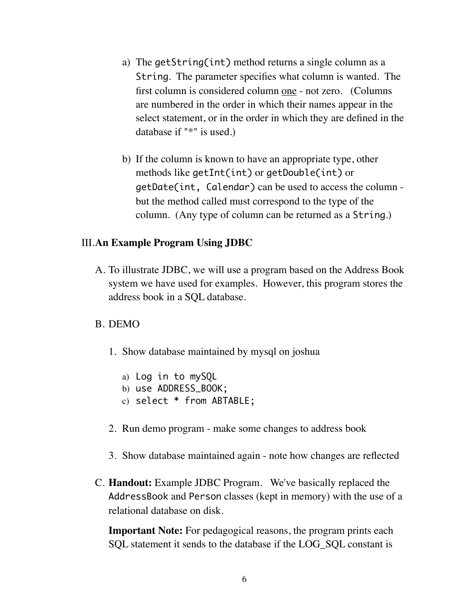- a) The getString(int) method returns a single column as a String. The parameter specifies what column is wanted. The first column is considered column one - not zero. (Columns are numbered in the order in which their names appear in the select statement, or in the order in which they are defined in the database if "\*" is used.)
- b) If the column is known to have an appropriate type, other methods like getInt(int) or getDouble(int) or getDate(int, Calendar) can be used to access the column but the method called must correspond to the type of the column. (Any type of column can be returned as a String.)

#### III.**An Example Program Using JDBC**

A. To illustrate JDBC, we will use a program based on the Address Book system we have used for examples. However, this program stores the address book in a SQL database.

#### B. DEMO

- 1. Show database maintained by mysql on joshua
	- a) Log in to mySQL
	- b) use ADDRESS\_BOOK;
	- c) select \* from ABTABLE;
- 2. Run demo program make some changes to address book
- 3. Show database maintained again note how changes are reflected
- C. **Handout:** Example JDBC Program. We've basically replaced the AddressBook and Person classes (kept in memory) with the use of a relational database on disk.

**Important Note:** For pedagogical reasons, the program prints each SQL statement it sends to the database if the LOG SQL constant is